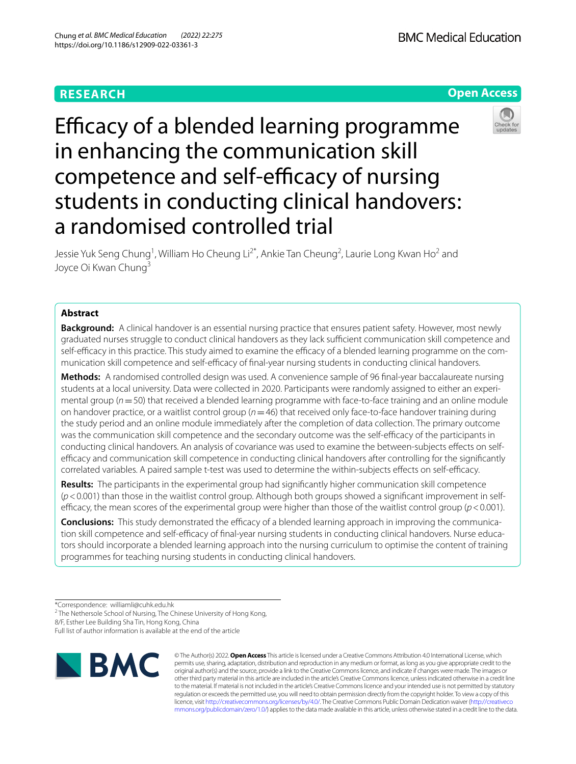# **RESEARCH**

**BMC Medical Education** 





# Efficacy of a blended learning programme in enhancing the communication skill competence and self-efficacy of nursing students in conducting clinical handovers: a randomised controlled trial

Jessie Yuk Seng Chung<sup>1</sup>, William Ho Cheung Li<sup>2\*</sup>, Ankie Tan Cheung<sup>2</sup>, Laurie Long Kwan Ho<sup>2</sup> and Joyce Oi Kwan Chung<sup>3</sup>

# **Abstract**

**Background:** A clinical handover is an essential nursing practice that ensures patient safety. However, most newly graduated nurses struggle to conduct clinical handovers as they lack sufficient communication skill competence and self-efficacy in this practice. This study aimed to examine the efficacy of a blended learning programme on the communication skill competence and self-efficacy of final-year nursing students in conducting clinical handovers.

**Methods:** A randomised controlled design was used. A convenience sample of 96 fnal-year baccalaureate nursing students at a local university. Data were collected in 2020. Participants were randomly assigned to either an experimental group ( $n=50$ ) that received a blended learning programme with face-to-face training and an online module on handover practice, or a waitlist control group (*n*=46) that received only face-to-face handover training during the study period and an online module immediately after the completion of data collection. The primary outcome was the communication skill competence and the secondary outcome was the self-efficacy of the participants in conducting clinical handovers. An analysis of covariance was used to examine the between-subjects efects on selfefficacy and communication skill competence in conducting clinical handovers after controlling for the significantly correlated variables. A paired sample t-test was used to determine the within-subjects effects on self-efficacy.

**Results:** The participants in the experimental group had signifcantly higher communication skill competence (*p*<0.001) than those in the waitlist control group. Although both groups showed a signifcant improvement in selfefficacy, the mean scores of the experimental group were higher than those of the waitlist control group  $(p < 0.001)$ .

**Conclusions:** This study demonstrated the efficacy of a blended learning approach in improving the communication skill competence and self-efficacy of final-year nursing students in conducting clinical handovers. Nurse educators should incorporate a blended learning approach into the nursing curriculum to optimise the content of training programmes for teaching nursing students in conducting clinical handovers.

<sup>2</sup> The Nethersole School of Nursing, The Chinese University of Hong Kong,

8/F, Esther Lee Building Sha Tin, Hong Kong, China

Full list of author information is available at the end of the article



© The Author(s) 2022. **Open Access** This article is licensed under a Creative Commons Attribution 4.0 International License, which permits use, sharing, adaptation, distribution and reproduction in any medium or format, as long as you give appropriate credit to the original author(s) and the source, provide a link to the Creative Commons licence, and indicate if changes were made. The images or other third party material in this article are included in the article's Creative Commons licence, unless indicated otherwise in a credit line to the material. If material is not included in the article's Creative Commons licence and your intended use is not permitted by statutory regulation or exceeds the permitted use, you will need to obtain permission directly from the copyright holder. To view a copy of this licence, visit [http://creativecommons.org/licenses/by/4.0/.](http://creativecommons.org/licenses/by/4.0/) The Creative Commons Public Domain Dedication waiver ([http://creativeco](http://creativecommons.org/publicdomain/zero/1.0/) [mmons.org/publicdomain/zero/1.0/](http://creativecommons.org/publicdomain/zero/1.0/)) applies to the data made available in this article, unless otherwise stated in a credit line to the data.

<sup>\*</sup>Correspondence: williamli@cuhk.edu.hk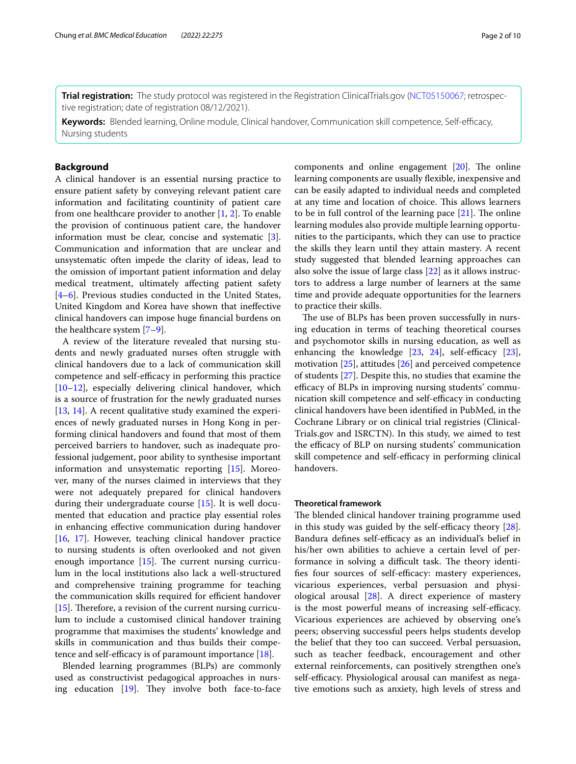**Trial registration:** The study protocol was registered in the Registration ClinicalTrials.gov ([NCT05150067;](https://clinicaltrials.gov/ct2/show/NCT05150067) retrospective registration; date of registration 08/12/2021).

**Keywords:** Blended learning, Online module, Clinical handover, Communication skill competence, Self-efcacy, Nursing students

# **Background**

A clinical handover is an essential nursing practice to ensure patient safety by conveying relevant patient care information and facilitating countinity of patient care from one healthcare provider to another  $[1, 2]$  $[1, 2]$  $[1, 2]$ . To enable the provision of continuous patient care, the handover information must be clear, concise and systematic [\[3](#page-8-2)]. Communication and information that are unclear and unsystematic often impede the clarity of ideas, lead to the omission of important patient information and delay medical treatment, ultimately affecting patient safety [[4–](#page-8-3)[6\]](#page-8-4). Previous studies conducted in the United States, United Kingdom and Korea have shown that inefective clinical handovers can impose huge fnancial burdens on the healthcare system [[7–](#page-8-5)[9](#page-8-6)].

A review of the literature revealed that nursing students and newly graduated nurses often struggle with clinical handovers due to a lack of communication skill competence and self-efficacy in performing this practice [[10–](#page-8-7)[12](#page-8-8)], especially delivering clinical handover, which is a source of frustration for the newly graduated nurses [[13,](#page-8-9) [14\]](#page-8-10). A recent qualitative study examined the experiences of newly graduated nurses in Hong Kong in performing clinical handovers and found that most of them perceived barriers to handover, such as inadequate professional judgement, poor ability to synthesise important information and unsystematic reporting [\[15](#page-8-11)]. Moreover, many of the nurses claimed in interviews that they were not adequately prepared for clinical handovers during their undergraduate course [[15\]](#page-8-11). It is well documented that education and practice play essential roles in enhancing efective communication during handover [[16,](#page-8-12) [17\]](#page-8-13). However, teaching clinical handover practice to nursing students is often overlooked and not given enough importance  $[15]$  $[15]$ . The current nursing curriculum in the local institutions also lack a well-structured and comprehensive training programme for teaching the communication skills required for efficient handover [ $15$ ]. Therefore, a revision of the current nursing curriculum to include a customised clinical handover training programme that maximises the students' knowledge and skills in communication and thus builds their competence and self-efficacy is of paramount importance  $[18]$  $[18]$ .

Blended learning programmes (BLPs) are commonly used as constructivist pedagogical approaches in nursing education  $[19]$  $[19]$ . They involve both face-to-face components and online engagement  $[20]$ . The online learning components are usually fexible, inexpensive and can be easily adapted to individual needs and completed at any time and location of choice. This allows learners to be in full control of the learning pace  $[21]$  $[21]$ . The online learning modules also provide multiple learning opportunities to the participants, which they can use to practice the skills they learn until they attain mastery. A recent study suggested that blended learning approaches can also solve the issue of large class [\[22\]](#page-8-18) as it allows instructors to address a large number of learners at the same time and provide adequate opportunities for the learners to practice their skills.

The use of BLPs has been proven successfully in nursing education in terms of teaching theoretical courses and psychomotor skills in nursing education, as well as enhancing the knowledge  $[23, 24]$  $[23, 24]$  $[23, 24]$  $[23, 24]$ , self-efficacy  $[23]$  $[23]$ , motivation [\[25\]](#page-8-21), attitudes [\[26\]](#page-8-22) and perceived competence of students [\[27](#page-8-23)]. Despite this, no studies that examine the efficacy of BLPs in improving nursing students' communication skill competence and self-efficacy in conducting clinical handovers have been identifed in PubMed, in the Cochrane Library or on clinical trial registries (Clinical-Trials.gov and ISRCTN). In this study, we aimed to test the efficacy of BLP on nursing students' communication skill competence and self-efficacy in performing clinical handovers.

#### **Theoretical framework**

The blended clinical handover training programme used in this study was guided by the self-efficacy theory  $[28]$  $[28]$ . Bandura defines self-efficacy as an individual's belief in his/her own abilities to achieve a certain level of performance in solving a difficult task. The theory identifies four sources of self-efficacy: mastery experiences, vicarious experiences, verbal persuasion and physiological arousal [\[28](#page-8-24)]. A direct experience of mastery is the most powerful means of increasing self-efficacy. Vicarious experiences are achieved by observing one's peers; observing successful peers helps students develop the belief that they too can succeed. Verbal persuasion, such as teacher feedback, encouragement and other external reinforcements, can positively strengthen one's self-efficacy. Physiological arousal can manifest as negative emotions such as anxiety, high levels of stress and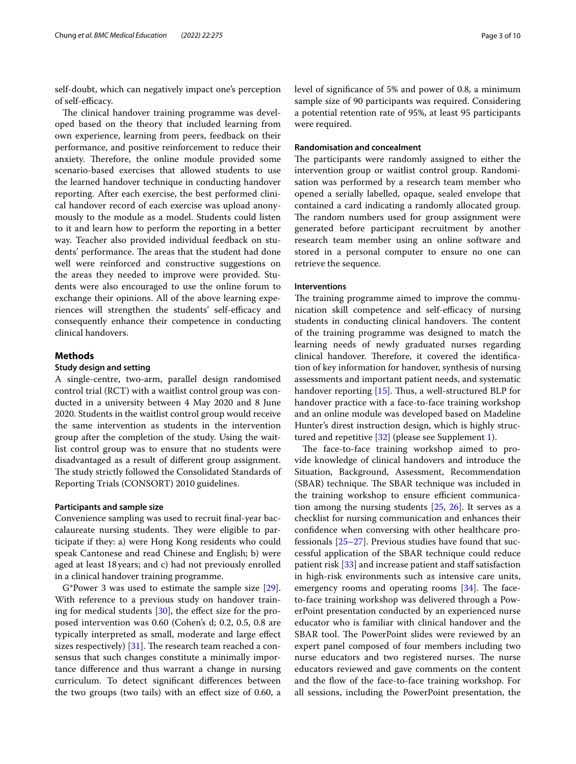self-doubt, which can negatively impact one's perception of self-efficacy.

The clinical handover training programme was developed based on the theory that included learning from own experience, learning from peers, feedback on their performance, and positive reinforcement to reduce their anxiety. Therefore, the online module provided some scenario-based exercises that allowed students to use the learned handover technique in conducting handover reporting. After each exercise, the best performed clinical handover record of each exercise was upload anonymously to the module as a model. Students could listen to it and learn how to perform the reporting in a better way. Teacher also provided individual feedback on students' performance. The areas that the student had done well were reinforced and constructive suggestions on the areas they needed to improve were provided. Students were also encouraged to use the online forum to exchange their opinions. All of the above learning experiences will strengthen the students' self-efficacy and consequently enhance their competence in conducting clinical handovers.

# **Methods**

# **Study design and setting**

A single-centre, two-arm, parallel design randomised control trial (RCT) with a waitlist control group was conducted in a university between 4 May 2020 and 8 June 2020. Students in the waitlist control group would receive the same intervention as students in the intervention group after the completion of the study. Using the waitlist control group was to ensure that no students were disadvantaged as a result of diferent group assignment. The study strictly followed the Consolidated Standards of Reporting Trials (CONSORT) 2010 guidelines.

# **Participants and sample size**

Convenience sampling was used to recruit fnal-year baccalaureate nursing students. They were eligible to participate if they: a) were Hong Kong residents who could speak Cantonese and read Chinese and English; b) were aged at least 18years; and c) had not previously enrolled in a clinical handover training programme.

G\*Power 3 was used to estimate the sample size [\[29](#page-8-25)]. With reference to a previous study on handover training for medical students [[30](#page-9-0)], the efect size for the proposed intervention was 0.60 (Cohen's d; 0.2, 0.5, 0.8 are typically interpreted as small, moderate and large efect sizes respectively)  $[31]$  $[31]$ . The research team reached a consensus that such changes constitute a minimally importance diference and thus warrant a change in nursing curriculum. To detect signifcant diferences between the two groups (two tails) with an efect size of 0.60, a level of signifcance of 5% and power of 0.8, a minimum sample size of 90 participants was required. Considering a potential retention rate of 95%, at least 95 participants were required.

# **Randomisation and concealment**

The participants were randomly assigned to either the intervention group or waitlist control group. Randomisation was performed by a research team member who opened a serially labelled, opaque, sealed envelope that contained a card indicating a randomly allocated group. The random numbers used for group assignment were generated before participant recruitment by another research team member using an online software and stored in a personal computer to ensure no one can retrieve the sequence.

#### **Interventions**

The training programme aimed to improve the communication skill competence and self-efficacy of nursing students in conducting clinical handovers. The content of the training programme was designed to match the learning needs of newly graduated nurses regarding clinical handover. Therefore, it covered the identification of key information for handover, synthesis of nursing assessments and important patient needs, and systematic handover reporting  $[15]$  $[15]$  $[15]$ . Thus, a well-structured BLP for handover practice with a face-to-face training workshop and an online module was developed based on Madeline Hunter's direst instruction design, which is highly structured and repetitive [[32\]](#page-9-2) (please see Supplement [1\)](#page-7-0).

The face-to-face training workshop aimed to provide knowledge of clinical handovers and introduce the Situation, Background, Assessment, Recommendation (SBAR) technique. The SBAR technique was included in the training workshop to ensure efficient communication among the nursing students [[25,](#page-8-21) [26](#page-8-22)]. It serves as a checklist for nursing communication and enhances their confdence when conversing with other healthcare professionals  $[25-27]$  $[25-27]$ . Previous studies have found that successful application of the SBAR technique could reduce patient risk  $\left[33\right]$  and increase patient and staff satisfaction in high-risk environments such as intensive care units, emergency rooms and operating rooms  $[34]$  $[34]$ . The faceto-face training workshop was delivered through a PowerPoint presentation conducted by an experienced nurse educator who is familiar with clinical handover and the SBAR tool. The PowerPoint slides were reviewed by an expert panel composed of four members including two nurse educators and two registered nurses. The nurse educators reviewed and gave comments on the content and the flow of the face-to-face training workshop. For all sessions, including the PowerPoint presentation, the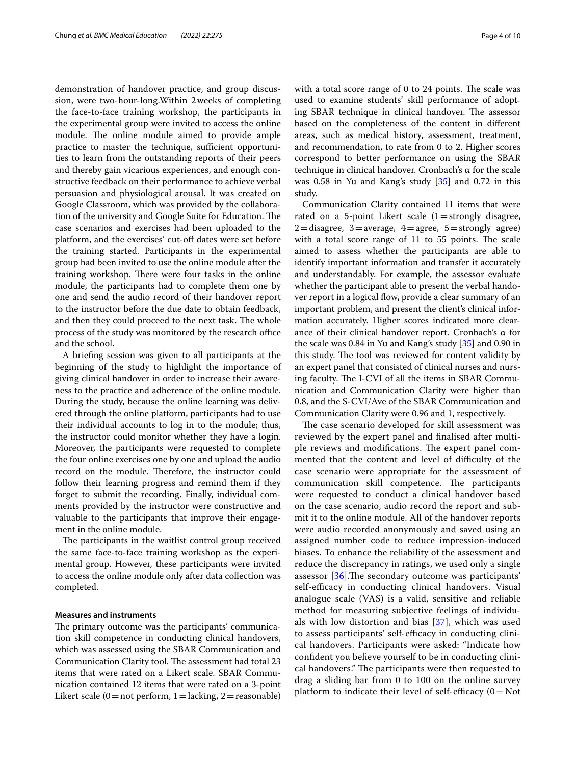demonstration of handover practice, and group discussion, were two-hour-long.Within 2weeks of completing the face-to-face training workshop, the participants in the experimental group were invited to access the online module. The online module aimed to provide ample practice to master the technique, sufficient opportunities to learn from the outstanding reports of their peers and thereby gain vicarious experiences, and enough constructive feedback on their performance to achieve verbal persuasion and physiological arousal. It was created on Google Classroom, which was provided by the collaboration of the university and Google Suite for Education. The case scenarios and exercises had been uploaded to the platform, and the exercises' cut-of dates were set before the training started. Participants in the experimental group had been invited to use the online module after the training workshop. There were four tasks in the online module, the participants had to complete them one by one and send the audio record of their handover report to the instructor before the due date to obtain feedback, and then they could proceed to the next task. The whole process of the study was monitored by the research office and the school.

A briefng session was given to all participants at the beginning of the study to highlight the importance of giving clinical handover in order to increase their awareness to the practice and adherence of the online module. During the study, because the online learning was delivered through the online platform, participants had to use their individual accounts to log in to the module; thus, the instructor could monitor whether they have a login. Moreover, the participants were requested to complete the four online exercises one by one and upload the audio record on the module. Therefore, the instructor could follow their learning progress and remind them if they forget to submit the recording. Finally, individual comments provided by the instructor were constructive and valuable to the participants that improve their engagement in the online module.

The participants in the waitlist control group received the same face-to-face training workshop as the experimental group. However, these participants were invited to access the online module only after data collection was completed.

# **Measures and instruments**

The primary outcome was the participants' communication skill competence in conducting clinical handovers, which was assessed using the SBAR Communication and Communication Clarity tool. The assessment had total 23 items that were rated on a Likert scale. SBAR Communication contained 12 items that were rated on a 3-point Likert scale (0 = not perform, 1 = lacking, 2 = reasonable)

with a total score range of  $0$  to  $24$  points. The scale was used to examine students' skill performance of adopting SBAR technique in clinical handover. The assessor based on the completeness of the content in diferent areas, such as medical history, assessment, treatment, and recommendation, to rate from 0 to 2. Higher scores correspond to better performance on using the SBAR technique in clinical handover. Cronbach's α for the scale was 0.58 in Yu and Kang's study [\[35\]](#page-9-5) and 0.72 in this study.

Communication Clarity contained 11 items that were rated on a 5-point Likert scale  $(1=$ strongly disagree,  $2=$ disagree, 3=average, 4=agree, 5=strongly agree) with a total score range of  $11$  to  $55$  points. The scale aimed to assess whether the participants are able to identify important information and transfer it accurately and understandably. For example, the assessor evaluate whether the participant able to present the verbal handover report in a logical flow, provide a clear summary of an important problem, and present the client's clinical information accurately. Higher scores indicated more clearance of their clinical handover report. Cronbach's α for the scale was 0.84 in Yu and Kang's study [[35\]](#page-9-5) and 0.90 in this study. The tool was reviewed for content validity by an expert panel that consisted of clinical nurses and nursing faculty. The I-CVI of all the items in SBAR Communication and Communication Clarity were higher than 0.8, and the S-CVI/Ave of the SBAR Communication and Communication Clarity were 0.96 and 1, respectively.

The case scenario developed for skill assessment was reviewed by the expert panel and fnalised after multiple reviews and modifications. The expert panel commented that the content and level of difficulty of the case scenario were appropriate for the assessment of communication skill competence. The participants were requested to conduct a clinical handover based on the case scenario, audio record the report and submit it to the online module. All of the handover reports were audio recorded anonymously and saved using an assigned number code to reduce impression-induced biases. To enhance the reliability of the assessment and reduce the discrepancy in ratings, we used only a single assessor  $[36]$  $[36]$ . The secondary outcome was participants' self-efficacy in conducting clinical handovers. Visual analogue scale (VAS) is a valid, sensitive and reliable method for measuring subjective feelings of individuals with low distortion and bias [\[37\]](#page-9-7), which was used to assess participants' self-efficacy in conducting clinical handovers. Participants were asked: "Indicate how confdent you believe yourself to be in conducting clinical handovers." The participants were then requested to drag a sliding bar from 0 to 100 on the online survey platform to indicate their level of self-efficacy  $(0=Not)$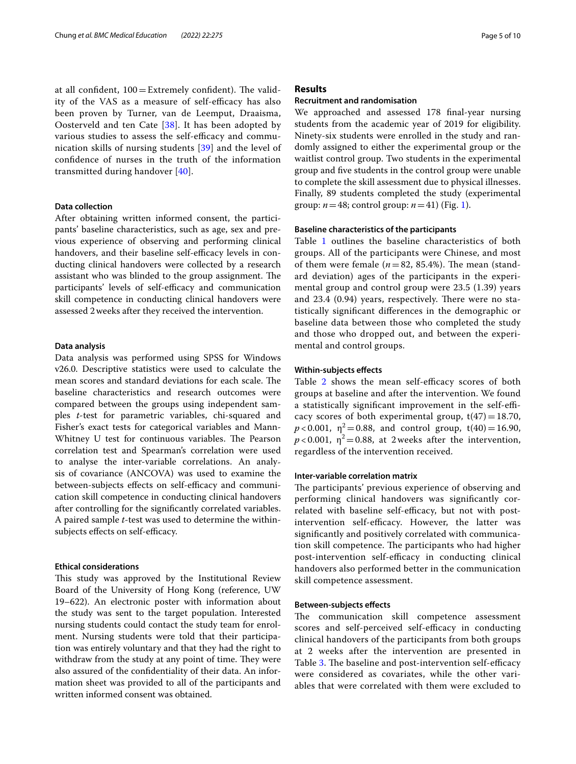at all confident,  $100 =$  Extremely confident). The validity of the VAS as a measure of self-efficacy has also been proven by Turner, van de Leemput, Draaisma, Oosterveld and ten Cate [[38\]](#page-9-8). It has been adopted by various studies to assess the self-efficacy and communication skills of nursing students [[39\]](#page-9-9) and the level of confdence of nurses in the truth of the information transmitted during handover [\[40](#page-9-10)].

# **Data collection**

After obtaining written informed consent, the participants' baseline characteristics, such as age, sex and previous experience of observing and performing clinical handovers, and their baseline self-efficacy levels in conducting clinical handovers were collected by a research assistant who was blinded to the group assignment. The participants' levels of self-efficacy and communication skill competence in conducting clinical handovers were assessed 2weeks after they received the intervention.

# **Data analysis**

Data analysis was performed using SPSS for Windows v26.0. Descriptive statistics were used to calculate the mean scores and standard deviations for each scale. The baseline characteristics and research outcomes were compared between the groups using independent samples *t*-test for parametric variables, chi-squared and Fisher's exact tests for categorical variables and Mann-Whitney U test for continuous variables. The Pearson correlation test and Spearman's correlation were used to analyse the inter-variable correlations. An analysis of covariance (ANCOVA) was used to examine the between-subjects effects on self-efficacy and communication skill competence in conducting clinical handovers after controlling for the signifcantly correlated variables. A paired sample *t*-test was used to determine the withinsubjects effects on self-efficacy.

#### **Ethical considerations**

This study was approved by the Institutional Review Board of the University of Hong Kong (reference, UW 19–622). An electronic poster with information about the study was sent to the target population. Interested nursing students could contact the study team for enrolment. Nursing students were told that their participation was entirely voluntary and that they had the right to withdraw from the study at any point of time. They were also assured of the confdentiality of their data. An information sheet was provided to all of the participants and written informed consent was obtained.

# **Results**

# **Recruitment and randomisation**

We approached and assessed 178 fnal-year nursing students from the academic year of 2019 for eligibility. Ninety-six students were enrolled in the study and randomly assigned to either the experimental group or the waitlist control group. Two students in the experimental group and fve students in the control group were unable to complete the skill assessment due to physical illnesses. Finally, 89 students completed the study (experimental group:  $n=48$ ; control group:  $n=41$ ) (Fig. [1\)](#page-5-0).

# **Baseline characteristics of the participants**

Table [1](#page-6-0) outlines the baseline characteristics of both groups. All of the participants were Chinese, and most of them were female  $(n=82, 85.4\%)$ . The mean (standard deviation) ages of the participants in the experimental group and control group were 23.5 (1.39) years and  $23.4$  (0.94) years, respectively. There were no statistically signifcant diferences in the demographic or baseline data between those who completed the study and those who dropped out, and between the experimental and control groups.

#### **Within‑subjects efects**

Table [2](#page-6-1) shows the mean self-efficacy scores of both groups at baseline and after the intervention. We found a statistically significant improvement in the self-efficacy scores of both experimental group,  $t(47)=18.70$ ,  $p < 0.001$ ,  $\eta^2 = 0.88$ , and control group, t(40) = 16.90,  $p < 0.001$ ,  $\eta^2 = 0.88$ , at 2 weeks after the intervention, regardless of the intervention received.

#### **Inter‑variable correlation matrix**

The participants' previous experience of observing and performing clinical handovers was signifcantly correlated with baseline self-efficacy, but not with postintervention self-efficacy. However, the latter was signifcantly and positively correlated with communication skill competence. The participants who had higher post-intervention self-efficacy in conducting clinical handovers also performed better in the communication skill competence assessment.

# **Between‑subjects efects**

The communication skill competence assessment scores and self-perceived self-efficacy in conducting clinical handovers of the participants from both groups at 2 weeks after the intervention are presented in Table [3](#page-6-2). The baseline and post-intervention self-efficacy were considered as covariates, while the other variables that were correlated with them were excluded to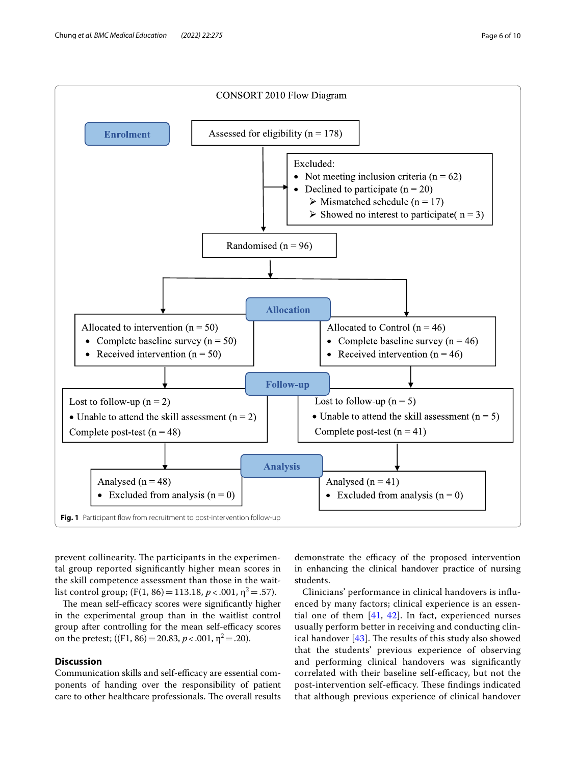

<span id="page-5-0"></span>prevent collinearity. The participants in the experimental group reported signifcantly higher mean scores in the skill competence assessment than those in the waitlist control group;  $(F(1, 86) = 113.18, p < .001, \eta^2 = .57)$ .

The mean self-efficacy scores were significantly higher in the experimental group than in the waitlist control group after controlling for the mean self-efficacy scores on the pretest;  $((F1, 86) = 20.83, p < .001, \eta^2 = .20)$ .

# **Discussion**

Communication skills and self-efficacy are essential components of handing over the responsibility of patient care to other healthcare professionals. The overall results

demonstrate the efficacy of the proposed intervention in enhancing the clinical handover practice of nursing students.

Clinicians' performance in clinical handovers is infuenced by many factors; clinical experience is an essential one of them  $[41, 42]$  $[41, 42]$  $[41, 42]$  $[41, 42]$ . In fact, experienced nurses usually perform better in receiving and conducting clinical handover  $[43]$  $[43]$ . The results of this study also showed that the students' previous experience of observing and performing clinical handovers was signifcantly correlated with their baseline self-efficacy, but not the post-intervention self-efficacy. These findings indicated that although previous experience of clinical handover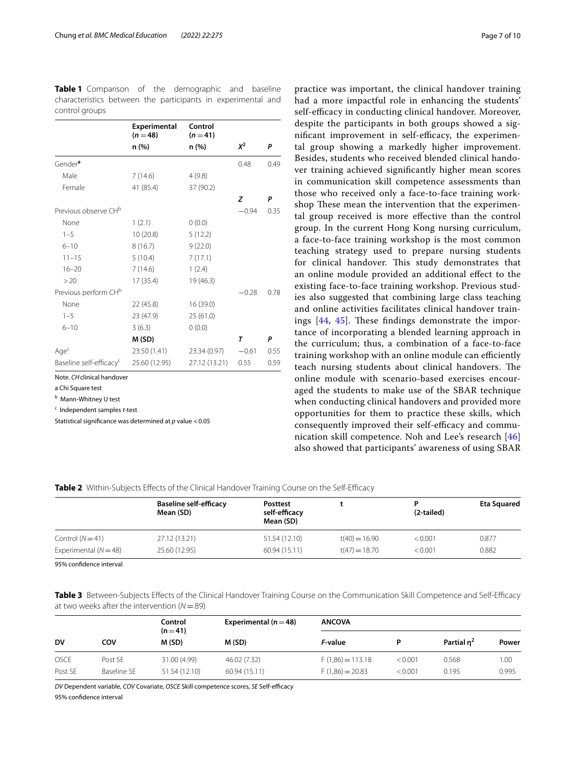|                                     | Experimental<br>$(n=48)$ | Control<br>$(n=41)$ |         |      |
|-------------------------------------|--------------------------|---------------------|---------|------|
|                                     | n (%)                    | n (%)               | $X^2$   | P    |
| Gender <sup>a</sup>                 |                          |                     | 0.48    | 0.49 |
| Male                                | 7(14.6)                  | 4(9.8)              |         |      |
| Female                              | 41 (85.4)                | 37 (90.2)           |         |      |
|                                     |                          |                     | Z       | P    |
| Previous observe CH <sup>b</sup>    |                          |                     | $-0.94$ | 0.35 |
| None                                | 1(2.1)                   | 0(0.0)              |         |      |
| $1 - 5$                             | 10(20.8)                 | 5(12.2)             |         |      |
| $6 - 10$                            | 8(16.7)                  | 9(22.0)             |         |      |
| $11 - 15$                           | 5(10.4)                  | 7(17.1)             |         |      |
| $16 - 20$                           | 7(14.6)                  | 1(2.4)              |         |      |
| >20                                 | 17 (35.4)                | 19 (46.3)           |         |      |
| Previous perform CH <sup>b</sup>    |                          |                     | $-0.28$ | 0.78 |
| None                                | 22 (45.8)                | 16 (39.0)           |         |      |
| $1 - 5$                             | 23 (47.9)                | 25(61.0)            |         |      |
| $6 - 10$                            | 3(6.3)                   | 0(0.0)              |         |      |
|                                     | M (SD)                   |                     | $\tau$  | P    |
| Age <sup>c</sup>                    | 23.50 (1.41)             | 23.34 (0.97)        | $-0.61$ | 0.55 |
| Baseline self-efficacy <sup>c</sup> | 25.60 (12.95)            | 27.12 (13.21)       | 0.55    | 0.59 |

<span id="page-6-0"></span>**Table 1** Comparison of the demographic and baseline characteristics between the participants in experimental and control groups

Note. *CH*clinical handover

a Chi Square test

<sup>b</sup> Mann-Whitney U test

c Independent samples *t*-test

Statistical signifcance was determined at *p* value <0.05

had a more impactful role in enhancing the students' self-efficacy in conducting clinical handover. Moreover, despite the participants in both groups showed a significant improvement in self-efficacy, the experimental group showing a markedly higher improvement. Besides, students who received blended clinical handover training achieved signifcantly higher mean scores in communication skill competence assessments than those who received only a face-to-face training workshop These mean the intervention that the experimental group received is more efective than the control group. In the current Hong Kong nursing curriculum, a face-to-face training workshop is the most common teaching strategy used to prepare nursing students for clinical handover. This study demonstrates that an online module provided an additional efect to the existing face-to-face training workshop. Previous studies also suggested that combining large class teaching and online activities facilitates clinical handover trainings  $[44, 45]$  $[44, 45]$  $[44, 45]$  $[44, 45]$ . These findings demonstrate the importance of incorporating a blended learning approach in the curriculum; thus, a combination of a face-to-face training workshop with an online module can efficiently teach nursing students about clinical handovers. The online module with scenario-based exercises encouraged the students to make use of the SBAR technique when conducting clinical handovers and provided more opportunities for them to practice these skills, which consequently improved their self-efficacy and communication skill competence. Noh and Lee's research [\[46](#page-9-16)] also showed that participants' awareness of using SBAR

practice was important, the clinical handover training

<span id="page-6-1"></span>**Table 2** Within-Subjects Effects of the Clinical Handover Training Course on the Self-Efficacy

| <b>Baseline self-efficacy</b><br>Mean (SD) | <b>Posttest</b><br>self-efficacy<br>Mean (SD) |                 | (2-tailed) | <b>Eta Squared</b> |
|--------------------------------------------|-----------------------------------------------|-----------------|------------|--------------------|
| 27.12 (13.21)                              | 51.54 (12.10)                                 | $t(40) = 16.90$ | < 0.001    | 0.877              |
| 25.60 (12.95)                              | 60.94 (15.11)                                 | $t(47) = 18.70$ | < 0.001    | 0.882              |
|                                            |                                               |                 |            |                    |

95% confdence interval

<span id="page-6-2"></span>Table 3 Between-Subjects Effects of the Clinical Handover Training Course on the Communication Skill Competence and Self-Efficacy at two weeks after the intervention (*N*=89)

| <b>DV</b>   | cov         | Control<br>$(n=41)$<br>M (SD) | Experimental ( $n = 48$ )<br>M (SD) | <b>ANCOVA</b>      |         |                        |       |
|-------------|-------------|-------------------------------|-------------------------------------|--------------------|---------|------------------------|-------|
|             |             |                               |                                     | F-value            |         | Partial n <sup>2</sup> | Power |
| <b>OSCE</b> | Post SE     | 31.00 (4.99)                  | 46.02 (7.32)                        | $F(1,86) = 113.18$ | < 0.001 | 0.568                  | 1.00  |
| Post SE     | Baseline SF | 51.54 (12.10)                 | 60.94 (15.11)                       | $F(1,86) = 20.83$  | < 0.001 | 0.195                  | 0.995 |

*DV* Dependent variable, *COV* Covariate, *OSCE* Skill competence scores, *SE* Self-efficacy 95% confdence interval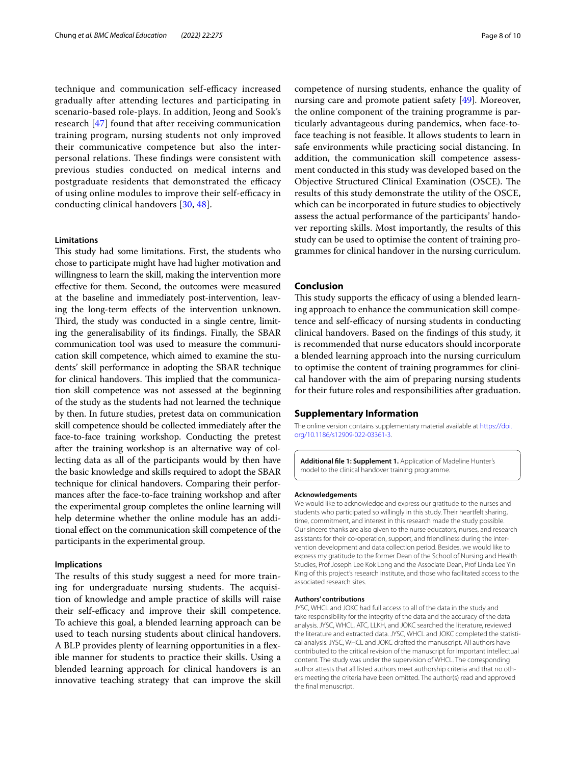technique and communication self-efficacy increased gradually after attending lectures and participating in scenario-based role-plays. In addition, Jeong and Sook's research [\[47](#page-9-17)] found that after receiving communication training program, nursing students not only improved their communicative competence but also the interpersonal relations. These findings were consistent with previous studies conducted on medical interns and postgraduate residents that demonstrated the efficacy of using online modules to improve their self-efficacy in conducting clinical handovers [[30,](#page-9-0) [48\]](#page-9-18).

# **Limitations**

This study had some limitations. First, the students who chose to participate might have had higher motivation and willingness to learn the skill, making the intervention more efective for them. Second, the outcomes were measured at the baseline and immediately post-intervention, leaving the long-term efects of the intervention unknown. Third, the study was conducted in a single centre, limiting the generalisability of its fndings. Finally, the SBAR communication tool was used to measure the communication skill competence, which aimed to examine the students' skill performance in adopting the SBAR technique for clinical handovers. This implied that the communication skill competence was not assessed at the beginning of the study as the students had not learned the technique by then. In future studies, pretest data on communication skill competence should be collected immediately after the face-to-face training workshop. Conducting the pretest after the training workshop is an alternative way of collecting data as all of the participants would by then have the basic knowledge and skills required to adopt the SBAR technique for clinical handovers. Comparing their performances after the face-to-face training workshop and after the experimental group completes the online learning will help determine whether the online module has an additional efect on the communication skill competence of the participants in the experimental group.

# **Implications**

The results of this study suggest a need for more training for undergraduate nursing students. The acquisition of knowledge and ample practice of skills will raise their self-efficacy and improve their skill competence. To achieve this goal, a blended learning approach can be used to teach nursing students about clinical handovers. A BLP provides plenty of learning opportunities in a fexible manner for students to practice their skills. Using a blended learning approach for clinical handovers is an innovative teaching strategy that can improve the skill competence of nursing students, enhance the quality of nursing care and promote patient safety [\[49\]](#page-9-19). Moreover, the online component of the training programme is particularly advantageous during pandemics, when face-toface teaching is not feasible. It allows students to learn in safe environments while practicing social distancing. In addition, the communication skill competence assessment conducted in this study was developed based on the Objective Structured Clinical Examination (OSCE). The results of this study demonstrate the utility of the OSCE, which can be incorporated in future studies to objectively assess the actual performance of the participants' handover reporting skills. Most importantly, the results of this study can be used to optimise the content of training programmes for clinical handover in the nursing curriculum.

## **Conclusion**

This study supports the efficacy of using a blended learning approach to enhance the communication skill competence and self-efficacy of nursing students in conducting clinical handovers. Based on the fndings of this study, it is recommended that nurse educators should incorporate a blended learning approach into the nursing curriculum to optimise the content of training programmes for clinical handover with the aim of preparing nursing students for their future roles and responsibilities after graduation.

#### **Supplementary Information**

The online version contains supplementary material available at [https://doi.](https://doi.org/10.1186/s12909-022-03361-3) [org/10.1186/s12909-022-03361-3](https://doi.org/10.1186/s12909-022-03361-3).

<span id="page-7-0"></span>**Additional fle 1: Supplement 1.** Application of Madeline Hunter's model to the clinical handover training programme.

#### **Acknowledgements**

We would like to acknowledge and express our gratitude to the nurses and students who participated so willingly in this study. Their heartfelt sharing, time, commitment, and interest in this research made the study possible. Our sincere thanks are also given to the nurse educators, nurses, and research assistants for their co-operation, support, and friendliness during the intervention development and data collection period. Besides, we would like to express my gratitude to the former Dean of the School of Nursing and Health Studies, Prof Joseph Lee Kok Long and the Associate Dean, Prof Linda Lee Yin King of this project's research institute, and those who facilitated access to the associated research sites.

#### **Authors' contributions**

JYSC, WHCL and JOKC had full access to all of the data in the study and take responsibility for the integrity of the data and the accuracy of the data analysis. JYSC, WHCL, ATC, LLKH, and JOKC searched the literature, reviewed the literature and extracted data. JYSC, WHCL and JOKC completed the statistical analysis. JYSC, WHCL and JOKC drafted the manuscript. All authors have contributed to the critical revision of the manuscript for important intellectual content. The study was under the supervision of WHCL. The corresponding author attests that all listed authors meet authorship criteria and that no others meeting the criteria have been omitted. The author(s) read and approved the fnal manuscript.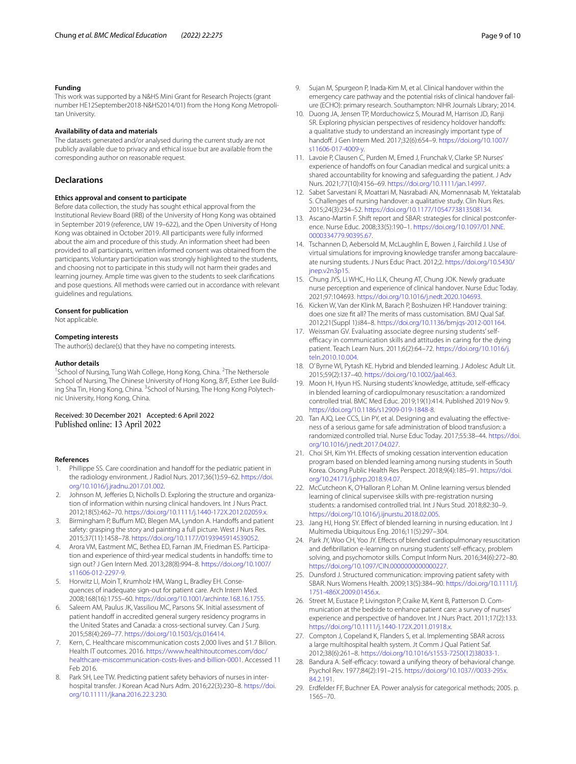#### **Funding**

This work was supported by a N&HS Mini Grant for Research Projects (grant number HE12September2018-N&HS2014/01) from the Hong Kong Metropolitan University.

#### **Availability of data and materials**

The datasets generated and/or analysed during the current study are not publicly available due to privacy and ethical issue but are available from the corresponding author on reasonable request.

#### **Declarations**

#### **Ethics approval and consent to participate**

Before data collection, the study has sought ethical approval from the Institutional Review Board (IRB) of the University of Hong Kong was obtained in September 2019 (reference, UW 19–622), and the Open University of Hong Kong was obtained in October 2019. All participants were fully informed about the aim and procedure of this study. An information sheet had been provided to all participants, written informed consent was obtained from the participants. Voluntary participation was strongly highlighted to the students, and choosing not to participate in this study will not harm their grades and learning journey. Ample time was given to the students to seek clarifcations and pose questions. All methods were carried out in accordance with relevant guidelines and regulations.

#### **Consent for publication**

Not applicable.

#### **Competing interests**

The author(s) declare(s) that they have no competing interests.

#### **Author details**

<sup>1</sup> School of Nursing, Tung Wah College, Hong Kong, China. <sup>2</sup>The Nethersole School of Nursing, The Chinese University of Hong Kong, 8/F, Esther Lee Building Sha Tin, Hong Kong, China. <sup>3</sup>School of Nursing, The Hong Kong Polytechnic University, Hong Kong, China.

Received: 30 December 2021 Accepted: 6 April 2022 Published online: 13 April 2022

#### **References**

- <span id="page-8-0"></span>1. Phillippe SS. Care coordination and handoff for the pediatric patient in the radiology environment. J Radiol Nurs. 2017;36(1):59–62. [https://doi.](https://doi.org/10.1016/j.jradnu.2017.01.002) [org/10.1016/j.jradnu.2017.01.002](https://doi.org/10.1016/j.jradnu.2017.01.002).
- <span id="page-8-1"></span>2. Johnson M, Jeferies D, Nicholls D. Exploring the structure and organization of information within nursing clinical handovers. Int J Nurs Pract. 2012;18(5):462–70. [https://doi.org/10.1111/j.1440-172X.2012.02059.x.](https://doi.org/10.1111/j.1440-172X.2012.02059.x)
- <span id="page-8-2"></span>3. Birmingham P, Buffum MD, Blegen MA, Lyndon A. Handoffs and patient safety: grasping the story and painting a full picture. West J Nurs Res. 2015;37(11):1458–78. [https://doi.org/10.1177/0193945914539052.](https://doi.org/10.1177/0193945914539052)
- <span id="page-8-3"></span>4. Arora VM, Eastment MC, Bethea ED, Farnan JM, Friedman ES. Participation and experience of third-year medical students in handofs: time to sign out? J Gen Intern Med. 2013;28(8):994–8. [https://doi.org/10.1007/](https://doi.org/10.1007/s11606-012-2297-9) [s11606-012-2297-9.](https://doi.org/10.1007/s11606-012-2297-9)
- 5. Horwitz LI, Moin T, Krumholz HM, Wang L, Bradley EH. Consequences of inadequate sign-out for patient care. Arch Intern Med. 2008;168(16):1755–60. [https://doi.org/10.1001/archinte.168.16.1755.](https://doi.org/10.1001/archinte.168.16.1755)
- <span id="page-8-4"></span>6. Saleem AM, Paulus JK, Vassiliou MC, Parsons SK. Initial assessment of patient handoff in accredited general surgery residency programs in the United States and Canada: a cross-sectional survey. Can J Surg. 2015;58(4):269–77. [https://doi.org/10.1503/cjs.016414.](https://doi.org/10.1503/cjs.016414)
- <span id="page-8-5"></span>7. Kern, C. Healthcare miscommunication costs 2,000 lives and \$1.7 Bilion. Health IT outcomes. 2016. [https://www.healthitoutcomes.com/doc/](https://www.healthitoutcomes.com/doc/healthcare-miscommunication-costs-lives-and-billion-0001) [healthcare-miscommunication-costs-lives-and-billion-0001](https://www.healthitoutcomes.com/doc/healthcare-miscommunication-costs-lives-and-billion-0001). Accessed 11 Feb 2016.
- 8. Park SH, Lee TW. Predicting patient safety behaviors of nurses in interhospital transfer. J Korean Acad Nurs Adm. 2016;22(3):230–8. [https://doi.](https://doi.org/10.11111/jkana.2016.22.3.230) [org/10.11111/jkana.2016.22.3.230.](https://doi.org/10.11111/jkana.2016.22.3.230)
- <span id="page-8-6"></span>9. Sujan M, Spurgeon P, Inada-Kim M, et al. Clinical handover within the emergency care pathway and the potential risks of clinical handover failure (ECHO): primary research. Southampton: NIHR Journals Library; 2014.
- <span id="page-8-7"></span>10. Duong JA, Jensen TP, Morduchowicz S, Mourad M, Harrison JD, Ranji SR. Exploring physician perspectives of residency holdover handofs: a qualitative study to understand an increasingly important type of handof. J Gen Intern Med. 2017;32(6):654–9. [https://doi.org/10.1007/](https://doi.org/10.1007/s11606-017-4009-y) [s11606-017-4009-y](https://doi.org/10.1007/s11606-017-4009-y).
- 11. Lavoie P, Clausen C, Purden M, Emed J, Frunchak V, Clarke SP. Nurses' experience of handoffs on four Canadian medical and surgical units: a shared accountability for knowing and safeguarding the patient. J Adv Nurs. 2021;77(10):4156–69. <https://doi.org/10.1111/jan.14997>.
- <span id="page-8-8"></span>12. Sabet Sarvestani R, Moattari M, Nasrabadi AN, Momennasab M, Yektatalab S. Challenges of nursing handover: a qualitative study. Clin Nurs Res. 2015;24(3):234–52. <https://doi.org/10.1177/1054773813508134>.
- <span id="page-8-9"></span>13. Ascano-Martin F. Shift report and SBAR: strategies for clinical postconference. Nurse Educ. 2008;33(5):190–1. [https://doi.org/10.1097/01.NNE.](https://doi.org/10.1097/01.NNE.0000334779.90395.67) [0000334779.90395.67.](https://doi.org/10.1097/01.NNE.0000334779.90395.67)
- <span id="page-8-10"></span>14. Tschannen D, Aebersold M, McLaughlin E, Bowen J, Fairchild J. Use of virtual simulations for improving knowledge transfer among baccalaureate nursing students. J Nurs Educ Pract. 2012;2. [https://doi.org/10.5430/](https://doi.org/10.5430/jnep.v2n3p15) [jnep.v2n3p15](https://doi.org/10.5430/jnep.v2n3p15).
- <span id="page-8-11"></span>15. Chung JYS, Li WHC, Ho LLK, Cheung AT, Chung JOK. Newly graduate nurse perception and experience of clinical handover. Nurse Educ Today. 2021;97:104693.<https://doi.org/10.1016/j.nedt.2020.104693>.
- <span id="page-8-12"></span>16. Kicken W, Van der Klink M, Barach P, Boshuizen HP. Handover training: does one size ft all? The merits of mass customisation. BMJ Qual Saf. 2012;21(Suppl 1):i84–8. [https://doi.org/10.1136/bmjqs-2012-001164.](https://doi.org/10.1136/bmjqs-2012-001164)
- <span id="page-8-13"></span>17. Weissman GV. Evaluating associate degree nursing students' selfefficacy in communication skills and attitudes in caring for the dying patient. Teach Learn Nurs. 2011;6(2):64–72. [https://doi.org/10.1016/j.](https://doi.org/10.1016/j.teln.2010.10.004) [teln.2010.10.004](https://doi.org/10.1016/j.teln.2010.10.004).
- <span id="page-8-14"></span>18. O' Byrne WI, Pytash KE. Hybrid and blended learning. J Adolesc Adult Lit. 2015;59(2):137–40. [https://doi.org/10.1002/jaal.463.](https://doi.org/10.1002/jaal.463)
- <span id="page-8-15"></span>19. Moon H, Hyun HS. Nursing students' knowledge, attitude, self-efficacy in blended learning of cardiopulmonary resuscitation: a randomized controlled trial. BMC Med Educ. 2019;19(1):414. Published 2019 Nov 9. [https://doi.org/10.1186/s12909-019-1848-8.](https://doi.org/10.1186/s12909-019-1848-8)
- <span id="page-8-16"></span>20. Tan AJQ, Lee CCS, Lin PY, et al. Designing and evaluating the effectiveness of a serious game for safe administration of blood transfusion: a randomized controlled trial. Nurse Educ Today. 2017;55:38–44. [https://doi.](https://doi.org/10.1016/j.nedt.2017.04.027) [org/10.1016/j.nedt.2017.04.027](https://doi.org/10.1016/j.nedt.2017.04.027).
- <span id="page-8-17"></span>21. Choi SH, Kim YH. Efects of smoking cessation intervention education program based on blended learning among nursing students in South Korea. Osong Public Health Res Perspect. 2018;9(4):185–91. [https://doi.](https://doi.org/10.24171/j.phrp.2018.9.4.07) [org/10.24171/j.phrp.2018.9.4.07.](https://doi.org/10.24171/j.phrp.2018.9.4.07)
- <span id="page-8-18"></span>22. McCutcheon K, O'Halloran P, Lohan M. Online learning versus blended learning of clinical supervisee skills with pre-registration nursing students: a randomised controlled trial. Int J Nurs Stud. 2018;82:30–9. [https://doi.org/10.1016/j.ijnurstu.2018.02.005.](https://doi.org/10.1016/j.ijnurstu.2018.02.005)
- <span id="page-8-19"></span>23. Jang HJ, Hong SY. Effect of blended learning in nursing education. Int J Multimedia Ubiquitous Eng. 2016;11(5):297–304.
- <span id="page-8-20"></span>24. Park JY, Woo CH, Yoo JY. Efects of blended cardiopulmonary resuscitation and defibrillation e-learning on nursing students' self-efficacy, problem solving, and psychomotor skills. Comput Inform Nurs. 2016;34(6):272–80. <https://doi.org/10.1097/CIN.0000000000000227>.
- <span id="page-8-21"></span>25. Dunsford J. Structured communication: improving patient safety with SBAR. Nurs Womens Health. 2009;13(5):384–90. [https://doi.org/10.1111/j.](https://doi.org/10.1111/j.1751-486X.2009.01456.x) [1751-486X.2009.01456.x.](https://doi.org/10.1111/j.1751-486X.2009.01456.x)
- <span id="page-8-22"></span>26. Street M, Eustace P, Livingston P, Craike M, Kent B, Patterson D. Communication at the bedside to enhance patient care: a survey of nurses' experience and perspective of handover. Int J Nurs Pract. 2011;17(2):133. <https://doi.org/10.1111/j.1440-172X.2011.01918.x>.
- <span id="page-8-23"></span>27. Compton J, Copeland K, Flanders S, et al. Implementing SBAR across a large multihospital health system. Jt Comm J Qual Patient Saf. 2012;38(6):261–8. [https://doi.org/10.1016/s1553-7250\(12\)38033-1.](https://doi.org/10.1016/s1553-7250(12)38033-1)
- <span id="page-8-24"></span>28. Bandura A. Self-efficacy: toward a unifying theory of behavioral change. Psychol Rev. 1977;84(2):191–215. [https://doi.org/10.1037//0033-295x.](https://doi.org/10.1037//0033-295x.84.2.191) [84.2.191](https://doi.org/10.1037//0033-295x.84.2.191).
- <span id="page-8-25"></span>29. Erdfelder FF, Buchner EA. Power analysis for categorical methods; 2005. p. 1565–70.